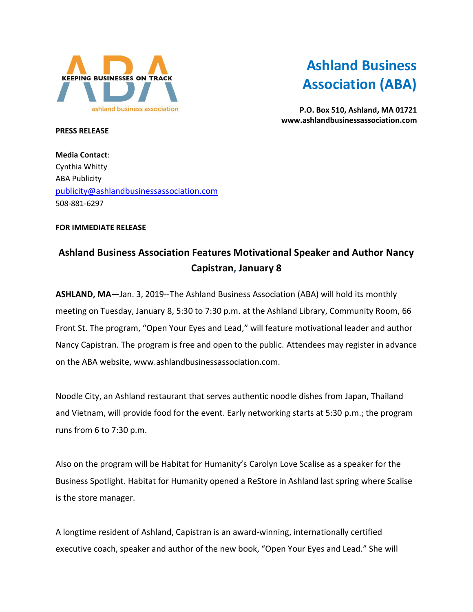

## **Ashland Business Association (ABA)**

**P.O. Box 510, Ashland, MA 01721 www.ashlandbusinessassociation.com**

**PRESS RELEASE**

**Media Contact**: Cynthia Whitty ABA Publicity [publicity@ashlandbusinessassociation.com](mailto:publicity@ashlandbusinessassociation.com) 508-881-6297

## **FOR IMMEDIATE RELEASE**

## **Ashland Business Association Features Motivational Speaker and Author Nancy Capistran, January 8**

**ASHLAND, MA**—Jan. 3, 2019--The Ashland Business Association (ABA) will hold its monthly meeting on Tuesday, January 8, 5:30 to 7:30 p.m. at the Ashland Library, Community Room, 66 Front St. The program, "Open Your Eyes and Lead," will feature motivational leader and author Nancy Capistran. The program is free and open to the public. Attendees may register in advance on the ABA website, www.ashlandbusinessassociation.com.

Noodle City, an Ashland restaurant that serves authentic noodle dishes from Japan, Thailand and Vietnam, will provide food for the event. Early networking starts at 5:30 p.m.; the program runs from 6 to 7:30 p.m.

Also on the program will be Habitat for Humanity's Carolyn Love Scalise as a speaker for the Business Spotlight. Habitat for Humanity opened a ReStore in Ashland last spring where Scalise is the store manager.

A longtime resident of Ashland, Capistran is an award-winning, internationally certified executive coach, speaker and author of the new book, "Open Your Eyes and Lead." She will